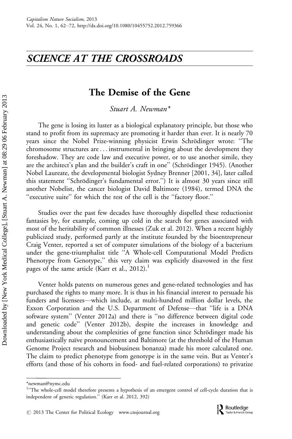## SCIENCE AT THE CROSSROADS

## The Demise of the Gene

Stuart A. Newman\*

The gene is losing its luster as a biological explanatory principle, but those who stand to profit from its supremacy are promoting it harder than ever. It is nearly 70 years since the Nobel Prize-winning physicist Erwin Schrödinger wrote: "The chromosome structures are... instrumental in bringing about the development they foreshadow. They are code law and executive power, or to use another simile, they are the architect's plan and the builder's craft in one" (Schrödinger 1945). (Another Nobel Laureate, the developmental biologist Sydney Brenner [2001, 34], later called this statement "Schrödinger's fundamental error.") It is almost 30 years since still another Nobelist, the cancer biologist David Baltimore (1984), termed DNA the "executive suite" for which the rest of the cell is the "factory floor."

Studies over the past few decades have thoroughly dispelled these reductionist fantasies by, for example, coming up cold in the search for genes associated with most of the heritability of common illnesses (Zuk et al. 2012). When a recent highly publicized study, performed partly at the institute founded by the bioentrepreneur Craig Venter, reported a set of computer simulations of the biology of a bacterium under the gene-triumphalist title ''A Whole-cell Computational Model Predicts Phenotype from Genotype," this very claim was explicitly disavowed in the first pages of the same article (Karr et al., 2012).<sup>1</sup>

Venter holds patents on numerous genes and gene-related technologies and has purchased the rights to many more. It is thus in his financial interest to persuade his funders and licensees—which include, at multi-hundred million dollar levels, the Exxon Corporation and the U.S. Department of Defense-that "life is a DNA software system'' (Venter 2012a) and there is ''no difference between digital code and genetic code'' (Venter 2012b), despite the increases in knowledge and understanding about the complexities of gene function since Schrödinger made his enthusiastically naïve pronouncement and Baltimore (at the threshold of the Human Genome Project research and biobusiness bonanza) made his more calculated one. The claim to predict phenotype from genotype is in the same vein. But as Venter's efforts (and those of his cohorts in food- and fuel-related corporations) to privatize



<sup>\*</sup>newman@nymc.edu

<sup>&</sup>lt;sup>16</sup>The whole-cell model therefore presents a hypothesis of an emergent control of cell-cycle duration that is independent of genetic regulation.'' (Karr et al. 2012, 392)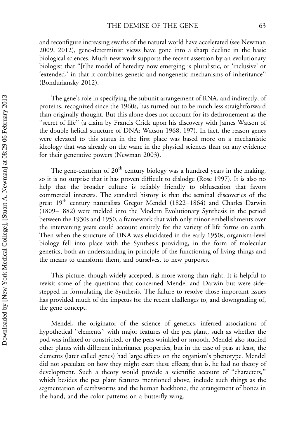and reconfigure increasing swaths of the natural world have accelerated (see Newman 2009, 2012), gene-determinist views have gone into a sharp decline in the basic biological sciences. Much new work supports the recent assertion by an evolutionary biologist that ''[t]he model of heredity now emerging is pluralistic, or 'inclusive' or 'extended,' in that it combines genetic and nongenetic mechanisms of inheritance'' (Bonduriansky 2012).

The gene's role in specifying the subunit arrangement of RNA, and indirectly, of proteins, recognized since the 1960s, has turned out to be much less straightforward than originally thought. But this alone does not account for its dethronement as the ''secret of life'' (a claim by Francis Crick upon his discovery with James Watson of the double helical structure of DNA; Watson 1968, 197). In fact, the reason genes were elevated to this status in the first place was based more on a mechanistic ideology that was already on the wane in the physical sciences than on any evidence for their generative powers (Newman 2003).

The gene-centrism of  $20<sup>th</sup>$  century biology was a hundred years in the making, so it is no surprise that it has proven difficult to dislodge (Rose 1997). It is also no help that the broader culture is reliably friendly to obfuscation that favors commercial interests. The standard history is that the seminal discoveries of the great 19<sup>th</sup> century naturalists Gregor Mendel (1822–1864) and Charles Darwin (1809-1882) were melded into the Modern Evolutionary Synthesis in the period between the 1930s and 1950, a framework that with only minor embellishments over the intervening years could account entirely for the variety of life forms on earth. Then when the structure of DNA was elucidated in the early 1950s, organism-level biology fell into place with the Synthesis providing, in the form of molecular genetics, both an understanding-in-principle of the functioning of living things and the means to transform them, and ourselves, to new purposes.

This picture, though widely accepted, is more wrong than right. It is helpful to revisit some of the questions that concerned Mendel and Darwin but were sidestepped in formulating the Synthesis. The failure to resolve those important issues has provided much of the impetus for the recent challenges to, and downgrading of, the gene concept.

Mendel, the originator of the science of genetics, inferred associations of hypothetical ''elements'' with major features of the pea plant, such as whether the pod was inflated or constricted, or the peas wrinkled or smooth. Mendel also studied other plants with different inheritance properties, but in the case of peas at least, the elements (later called genes) had large effects on the organism's phenotype. Mendel did not speculate on how they might exert these effects; that is, he had no theory of development. Such a theory would provide a scientific account of ''characters,'' which besides the pea plant features mentioned above, include such things as the segmentation of earthworms and the human backbone, the arrangement of bones in the hand, and the color patterns on a butterfly wing.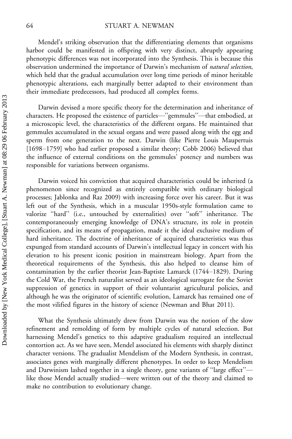Mendel's striking observation that the differentiating elements that organisms harbor could be manifested in offspring with very distinct, abruptly appearing phenotypic differences was not incorporated into the Synthesis. This is because this observation undermined the importance of Darwin's mechanism of natural selection, which held that the gradual accumulation over long time periods of minor heritable phenotypic alterations, each marginally better adapted to their environment than their immediate predecessors, had produced all complex forms.

Darwin devised a more specific theory for the determination and inheritance of characters. He proposed the existence of particles-"gemmules"-that embodied, at a microscopic level, the characteristics of the different organs. He maintained that gemmules accumulated in the sexual organs and were passed along with the egg and sperm from one generation to the next. Darwin (like Pierre Louis Maupertuis [1698–1759] who had earlier proposed a similar theory; Cobb 2006) believed that the influence of external conditions on the gemmules' potency and numbers was responsible for variations between organisms.

Darwin voiced his conviction that acquired characteristics could be inherited (a phenomenon since recognized as entirely compatible with ordinary biological processes; Jablonka and Raz 2009) with increasing force over his career. But it was left out of the Synthesis, which in a muscular 1950s-style formulation came to valorize ''hard'' (i.e., untouched by externalities) over ''soft'' inheritance. The contemporaneously emerging knowledge of DNA's structure, its role in protein specification, and its means of propagation, made it the ideal exclusive medium of hard inheritance. The doctrine of inheritance of acquired characteristics was thus expunged from standard accounts of Darwin's intellectual legacy in concert with his elevation to his present iconic position in mainstream biology. Apart from the theoretical requirements of the Synthesis, this also helped to cleanse him of contamination by the earlier theorist Jean-Baptiste Lamarck (1744-1829). During the Cold War, the French naturalist served as an ideological surrogate for the Soviet suppression of genetics in support of their voluntarist agricultural policies, and although he was the originator of scientific evolution, Lamarck has remained one of the most vilified figures in the history of science (Newman and Bhat 2011).

What the Synthesis ultimately drew from Darwin was the notion of the slow refinement and remolding of form by multiple cycles of natural selection. But harnessing Mendel's genetics to this adaptive gradualism required an intellectual contortion act. As we have seen, Mendel associated his elements with sharply distinct character versions. The gradualist Mendelism of the Modern Synthesis, in contrast, associates genes with marginally different phenotypes. In order to keep Mendelism and Darwinism lashed together in a single theory, gene variants of "large effect"like those Mendel actually studied—were written out of the theory and claimed to make no contribution to evolutionary change.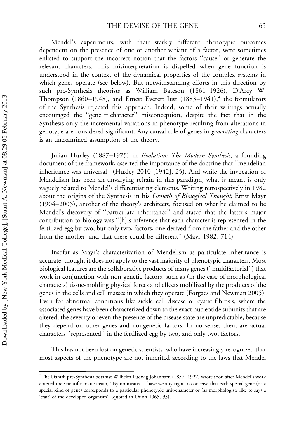Mendel's experiments, with their starkly different phenotypic outcomes dependent on the presence of one or another variant of a factor, were sometimes enlisted to support the incorrect notion that the factors ''cause'' or generate the relevant characters. This misinterpretation is dispelled when gene function is understood in the context of the dynamical properties of the complex systems in which genes operate (see below). But notwithstanding efforts in this direction by such pre-Synthesis theorists as William Bateson (1861-1926), D'Arcy W. Thompson (1860–1948), and Ernest Everett Just (1883–1941),<sup>2</sup> the formulators of the Synthesis rejected this approach. Indeed, some of their writings actually encouraged the "gene = character" misconception, despite the fact that in the Synthesis only the incremental variations in phenotype resulting from alterations in genotype are considered significant. Any causal role of genes in *generating* characters is an unexamined assumption of the theory.

Julian Huxley (1887–1975) in *Evolution: The Modern Synthesis*, a founding document of the framework, asserted the importance of the doctrine that ''mendelian inheritance was universal'' (Huxley 2010 [1942], 25). And while the invocation of Mendelism has been an unvarying refrain in this paradigm, what is meant is only vaguely related to Mendel's differentiating elements. Writing retrospectively in 1982 about the origins of the Synthesis in his Growth of Biological Thought, Ernst Mayr (1904-2005), another of the theory's architects, focused on what he claimed to be Mendel's discovery of ''particulate inheritance'' and stated that the latter's major contribution to biology was ''[h]is inference that each character is represented in the fertilized egg by two, but only two, factors, one derived from the father and the other from the mother, and that these could be different'' (Mayr 1982, 714).

Insofar as Mayr's characterization of Mendelism as particulate inheritance is accurate, though, it does not apply to the vast majority of phenotypic characters. Most biological features are the collaborative products of many genes (''multifactorial'') that work in conjunction with non-genetic factors, such as (in the case of morphological characters) tissue-molding physical forces and effects mobilized by the products of the genes in the cells and cell masses in which they operate (Forgacs and Newman 2005). Even for abnormal conditions like sickle cell disease or cystic fibrosis, where the associated genes have been characterized down to the exact nucleotide subunits that are altered, the severity or even the presence of the disease state are unpredictable, because they depend on other genes and nongenetic factors. In no sense, then, are actual characters ''represented'' in the fertilized egg by two, and only two, factors.

This has not been lost on genetic scientists, who have increasingly recognized that most aspects of the phenotype are not inherited according to the laws that Mendel

<sup>&</sup>lt;sup>2</sup>The Danish pre-Synthesis botanist Wilhelm Ludwig Johannsen (1857–1927) wrote soon after Mendel's work entered the scientific mainstream, ''By no means ... have we any right to conceive that each special gene (or a special kind of gene) corresponds to a particular phenotypic unit-character or (as morphologists like to say) a 'trait' of the developed organism'' (quoted in Dunn 1965, 93).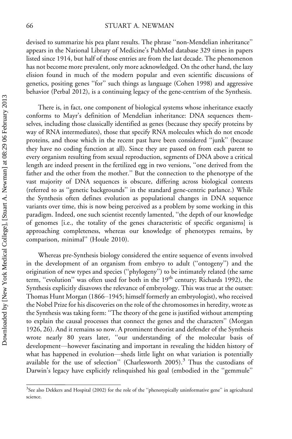## 66 STUART A. NEWMAN

devised to summarize his pea plant results. The phrase ''non-Mendelian inheritance'' appears in the National Library of Medicine's PubMed database 329 times in papers listed since 1914, but half of those entries are from the last decade. The phenomenon has not become more prevalent, only more acknowledged. On the other hand, the lazy elision found in much of the modern popular and even scientific discussions of genetics, positing genes ''for'' such things as language (Cohen 1998) and aggressive behavior (Perbal 2012), is a continuing legacy of the gene-centrism of the Synthesis.

There is, in fact, one component of biological systems whose inheritance exactly conforms to Mayr's definition of Mendelian inheritance: DNA sequences themselves, including those classically identified as genes (because they specify proteins by way of RNA intermediates), those that specify RNA molecules which do not encode proteins, and those which in the recent past have been considered ''junk'' (because they have no coding function at all). Since they are passed on from each parent to every organism resulting from sexual reproduction, segments of DNA above a critical length are indeed present in the fertilized egg in two versions, ''one derived from the father and the other from the mother.'' But the connection to the phenotype of the vast majority of DNA sequences is obscure, differing across biological contexts (referred to as ''genetic backgrounds'' in the standard gene-centric parlance.) While the Synthesis often defines evolution as populational changes in DNA sequence variants over time, this is now being perceived as a problem by some working in this paradigm. Indeed, one such scientist recently lamented, ''the depth of our knowledge of genomes [i.e., the totality of the genes characteristic of specific organisms] is approaching completeness, whereas our knowledge of phenotypes remains, by comparison, minimal'' (Houle 2010).

Whereas pre-Synthesis biology considered the entire sequence of events involved in the development of an organism from embryo to adult (''ontogeny'') and the origination of new types and species (''phylogeny'') to be intimately related (the same term, "evolution" was often used for both in the  $19<sup>th</sup>$  century; Richards 1992), the Synthesis explicitly disavows the relevance of embryology. This was true at the outset: Thomas Hunt Morgan (1866-1945; himself formerly an embryologist), who received the Nobel Prize for his discoveries on the role of the chromosomes in heredity, wrote as the Synthesis was taking form: ''The theory of the gene is justified without attempting to explain the causal processes that connect the genes and the characters'' (Morgan 1926, 26). And it remains so now. A prominent theorist and defender of the Synthesis wrote nearly 80 years later, ''our understanding of the molecular basis of development-however fascinating and important in revealing the hidden history of what has happened in evolution-sheds little light on what variation is potentially available for the use of selection" (Charlesworth 2005).<sup>3</sup> Thus the custodians of Darwin's legacy have explicitly relinquished his goal (embodied in the ''gemmule''

<sup>&</sup>lt;sup>3</sup>See also Dekkers and Hospital (2002) for the role of the "phenotypically uninformative gene" in agricultural science.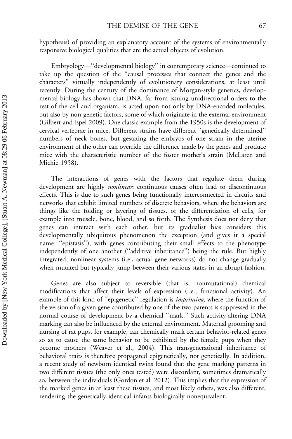hypothesis) of providing an explanatory account of the systems of environmentally responsive biological qualities that are the actual objects of evolution.

Embryology—"developmental biology" in contemporary science—continued to take up the question of the ''causal processes that connect the genes and the characters'' virtually independently of evolutionary considerations, at least until recently. During the century of the dominance of Morgan-style genetics, developmental biology has shown that DNA, far from issuing unidirectional orders to the rest of the cell and organism, is acted upon not only by DNA-encoded molecules, but also by non-genetic factors, some of which originate in the external environment (Gilbert and Epel 2009). One classic example from the 1950s is the development of cervical vertebrae in mice. Different strains have different ''genetically determined'' numbers of neck bones, but gestating the embryos of one strain in the uterine environment of the other can override the difference made by the genes and produce mice with the characteristic number of the foster mother's strain (McLaren and Michie 1958).

The interactions of genes with the factors that regulate them during development are highly *nonlinear*: continuous causes often lead to discontinuous effects. This is due to such genes being functionally interconnected in circuits and networks that exhibit limited numbers of discrete behaviors, where the behaviors are things like the folding or layering of tissues, or the differentiation of cells, for example into muscle, bone, blood, and so forth. The Synthesis does not deny that genes can interact with each other, but its gradualist bias considers this developmentally ubiquitous phenomenon the exception (and gives it a special name: ''epistasis''), with genes contributing their small effects to the phenotype independently of one another (''additive inheritance'') being the rule. But highly integrated, nonlinear systems (i.e., actual gene networks) do not change gradually when mutated but typically jump between their various states in an abrupt fashion.

Genes are also subject to reversible (that is, nonmutational) chemical modifications that affect their levels of expression (i.e., functional activity). An example of this kind of "epigenetic" regulation is *imprinting*, where the function of the version of a given gene contributed by one of the two parents is suppressed in the normal course of development by a chemical ''mark.'' Such activity-altering DNA marking can also be influenced by the external environment. Maternal grooming and nursing of rat pups, for example, can chemically mark certain behavior-related genes so as to cause the same behavior to be exhibited by the female pups when they become mothers (Weaver et al., 2004). This transgenerational inheritance of behavioral traits is therefore propagated epigenetically, not genetically. In addition, a recent study of newborn identical twins found that the gene marking patterns in two different tissues (the only ones tested) were discordant, sometimes dramatically so, between the individuals (Gordon et al. 2012). This implies that the expression of the marked genes in at least these tissues, and most likely others, was also different, rendering the genetically identical infants biologically nonequivalent.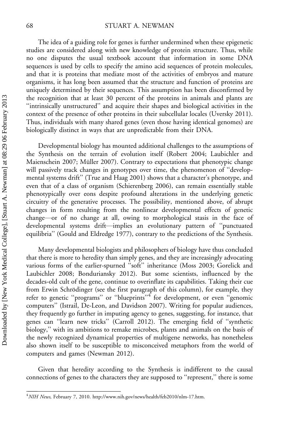The idea of a guiding role for genes is further undermined when these epigenetic studies are considered along with new knowledge of protein structure. Thus, while no one disputes the usual textbook account that information in some DNA sequences is used by cells to specify the amino acid sequences of protein molecules, and that it is proteins that mediate most of the activities of embryos and mature organisms, it has long been assumed that the structure and function of proteins are uniquely determined by their sequences. This assumption has been disconfirmed by the recognition that at least 30 percent of the proteins in animals and plants are ''intrinsically unstructured'' and acquire their shapes and biological activities in the context of the presence of other proteins in their subcellular locales (Uversky 2011). Thus, individuals with many shared genes (even those having identical genomes) are biologically distinct in ways that are unpredictable from their DNA.

Developmental biology has mounted additional challenges to the assumptions of the Synthesis on the terrain of evolution itself (Robert 2004; Laubichler and Maienschein 2007; Müller 2007). Contrary to expectations that phenotypic change will passively track changes in genotypes over time, the phenomenon of "developmental systems drift'' (True and Haag 2001) shows that a character's phenotype, and even that of a class of organism (Schierenberg 2006), can remain essentially stable phenotypically over eons despite profound alterations in the underlying genetic circuitry of the generative processes. The possibility, mentioned above, of abrupt changes in form resulting from the nonlinear developmental effects of genetic change-or of no change at all, owing to morphological stasis in the face of developmental systems drift-implies an evolutionary pattern of "punctuated equilibria'' (Gould and Eldredge 1977), contrary to the predictions of the Synthesis.

Many developmental biologists and philosophers of biology have thus concluded that there is more to heredity than simply genes, and they are increasingly advocating various forms of the earlier-spurned ''soft'' inheritance (Moss 2003; Gorelick and Laubichler 2008; Bonduriansky 2012). But some scientists, influenced by the decades-old cult of the gene, continue to overinflate its capabilities. Taking their cue from Erwin Schrödinger (see the first paragraph of this column), for example, they refer to genetic "programs" or "blueprints"<sup>4</sup> for development, or even "genomic computers'' (Istrail, De-Leon, and Davidson 2007). Writing for popular audiences, they frequently go further in imputing agency to genes, suggesting, for instance, that genes can ''learn new tricks'' (Carroll 2012). The emerging field of ''synthetic biology,'' with its ambitions to remake microbes, plants and animals on the basis of the newly recognized dynamical properties of multigene networks, has nonetheless also shown itself to be susceptible to misconceived metaphors from the world of computers and games (Newman 2012).

Given that heredity according to the Synthesis is indifferent to the causal connections of genes to the characters they are supposed to ''represent,'' there is some

<sup>&</sup>lt;sup>4</sup>NIH News, February 7, 2010. [http://www.nih.gov/news/health/feb2010/nlm-17.htm.](http://www.nih.gov/news/health/feb2010/nlm-17.htm)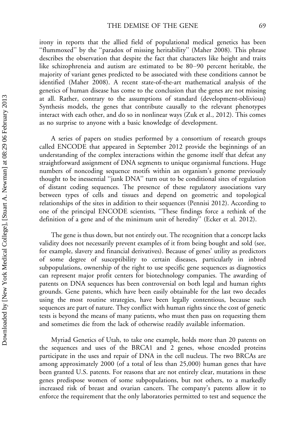irony in reports that the allied field of populational medical genetics has been "flummoxed" by the "paradox of missing heritability" (Maher 2008). This phrase describes the observation that despite the fact that characters like height and traits like schizophreneia and autism are estimated to be 80-90 percent heritable, the majority of variant genes predicted to be associated with these conditions cannot be identified (Maher 2008). A recent state-of-the-art mathematical analysis of the genetics of human disease has come to the conclusion that the genes are not missing at all. Rather, contrary to the assumptions of standard (development-oblivious) Synthesis models, the genes that contribute causally to the relevant phenotypes interact with each other, and do so in nonlinear ways (Zuk et al., 2012). This comes as no surprise to anyone with a basic knowledge of development.

A series of papers on studies performed by a consortium of research groups called ENCODE that appeared in September 2012 provide the beginnings of an understanding of the complex interactions within the genome itself that defeat any straightforward assignment of DNA segments to unique organismal functions. Huge numbers of noncoding sequence motifs within an organism's genome previously thought to be inessential ''junk DNA'' turn out to be conditional sites of regulation of distant coding sequences. The presence of these regulatory associations vary between types of cells and tissues and depend on geometric and topological relationships of the sites in addition to their sequences (Pennisi 2012). According to one of the principal ENCODE scientists, ''These findings force a rethink of the definition of a gene and of the minimum unit of heredity'' (Ecker et al. 2012).

The gene is thus down, but not entirely out. The recognition that a concept lacks validity does not necessarily prevent examples of it from being bought and sold (see, for example, slavery and financial derivatives). Because of genes' utility as predictors of some degree of susceptibility to certain diseases, particularly in inbred subpopulations, ownership of the right to use specific gene sequences as diagnostics can represent major profit centers for biotechnology companies. The awarding of patents on DNA sequences has been controversial on both legal and human rights grounds. Gene patents, which have been easily obtainable for the last two decades using the most routine strategies, have been legally contentious, because such sequences are part of nature. They conflict with human rights since the cost of genetic tests is beyond the means of many patients, who must then pass on requesting them and sometimes die from the lack of otherwise readily available information.

Myriad Genetics of Utah, to take one example, holds more than 20 patents on the sequences and uses of the BRCA1 and 2 genes, whose encoded proteins participate in the uses and repair of DNA in the cell nucleus. The two BRCAs are among approximately 2000 (of a total of less than 25,000) human genes that have been granted U.S. patents. For reasons that are not entirely clear, mutations in these genes predispose women of some subpopulations, but not others, to a markedly increased risk of breast and ovarian cancers. The company's patents allow it to enforce the requirement that the only laboratories permitted to test and sequence the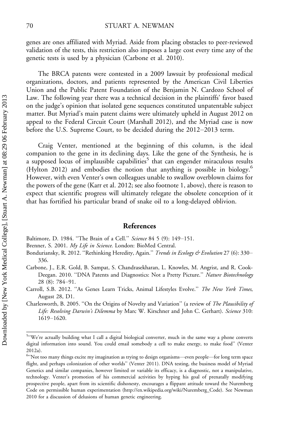genes are ones affiliated with Myriad. Aside from placing obstacles to peer-reviewed validation of the tests, this restriction also imposes a large cost every time any of the genetic tests is used by a physician (Carbone et al. 2010).

The BRCA patents were contested in a 2009 lawsuit by professional medical organizations, doctors, and patients represented by the American Civil Liberties Union and the Public Patent Foundation of the Benjamin N. Cardozo School of Law. The following year there was a technical decision in the plaintiffs' favor based on the judge's opinion that isolated gene sequences constituted unpatentable subject matter. But Myriad's main patent claims were ultimately upheld in August 2012 on appeal to the Federal Circuit Court (Marshall 2012), and the Myriad case is now before the U.S. Supreme Court, to be decided during the 2012-2013 term.

Craig Venter, mentioned at the beginning of this column, is the ideal companion to the gene in its declining days. Like the gene of the Synthesis, he is a supposed locus of implausible capabilities<sup>5</sup> that can engender miraculous results (Hylton 2012) and embodies the notion that anything is possible in biology.<sup>6</sup> However, with even Venter's own colleagues unable to swallow overblown claims for the powers of the gene (Karr et al. 2012; see also footnote 1, above), there is reason to expect that scientific progress will ultimately relegate the obsolete conception of it that has fortified his particular brand of snake oil to a long-delayed oblivion.

## References

Baltimore, D. 1984. "The Brain of a Cell." Science 84 5 (9): 149-151.

Brenner, S. 2001. My Life in Science. London: BioMed Central.

Bonduriansky, R. 2012. ''Rethinking Heredity, Again.'' *Trends in Ecology & Evolution* 27 (6): 330– 336.

Carbone, J., E.R. Gold, B. Sampat, S. Chandrasekharan, L. Knowles, M. Angrist, and R. Cook-Deegan. 2010. "DNA Patents and Diagnostics: Not a Pretty Picture." Nature Biotechnology 28 (8): 784-91.

Carroll, S.B. 2012. ''As Genes Learn Tricks, Animal Lifestyles Evolve.'' The New York Times, August 28, D1.

Charlesworth, B. 2005. ''On the Origins of Novelty and Variation'' (a review of The Plausibility of Life: Resolving Darwin's Dilemma by Marc W. Kirschner and John C. Gerhart). Science 310: 1619-1620.

<sup>&</sup>lt;sup>56</sup>We're actually building what I call a digital biological converter, much in the same way a phone converts digital information into sound. You could email somebody a cell to make energy, to make food'' (Venter 2012a).

<sup>&</sup>lt;sup>6</sup>"Not too many things excite my imagination as trying to design organisms—even people—for long term space flight, and perhaps colonization of other worlds'' (Venter 2011). DNA testing, the business model of Myriad Genetics and similar companies, however limited or variable its efficacy, is a diagnostic, not a manipulative, technology. Venter's promotion of his commercial activities by hyping his goal of prenatally modifying prospective people, apart from its scientific dishonesty, encourages a flippant attitude toward the Nuremberg Code on permissible human experimentation ([http://en.wikipedia.org/wiki/Nuremberg\\_Code\)](http://en.wikipedia.org/wiki/Nuremberg_Code). See Newman 2010 for a discussion of delusions of human genetic engineering.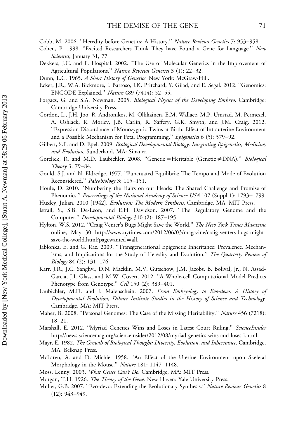Cobb, M. 2006. "Heredity before Genetics: A History." Nature Reviews Genetics 7: 953-958.

- Cohen, P. 1998. ''Excited Researchers Think They have Found a Gene for Language.'' New Scientist, January 31, 77.
- Dekkers, J.C. and F. Hospital. 2002. ''The Use of Molecular Genetics in the Improvement of Agricultural Populations." Nature Reviews Genetics 3 (1): 22-32.
- Dunn, L.C. 1965. A Short History of Genetics. New York: McGraw-Hill.
- Ecker, J.R., W.A. Bickmore, I. Barroso, J.K. Pritchard, Y. Gilad, and E. Segal. 2012. ''Genomics: ENCODE Explained." Nature 489 (7414): 52-55.
- Forgacs, G. and S.A. Newman. 2005. Biological Physics of the Developing Embryo. Cambridge: Cambridge University Press.
- Gordon, L., J.H. Joo, R. Andronikos, M. Ollikainen, E.M. Wallace, M.P. Umstad, M. Permezel, A. Oshlack, R. Morley, J.B. Carlin, R. Saffery, G.K. Smyth, and J.M. Craig. 2012. ''Expression Discordance of Monozygotic Twins at Birth: Effect of Intrauterine Environment and a Possible Mechanism for Fetal Programming." *Epigenetics* 6 (5): 579–92.
- Gilbert, S.F. and D. Epel. 2009. Ecological Developmental Biology: Integrating Epigenetics, Medicine, and Evolution. Sunderland, MA: Sinauer.
- Gorelick, R. and M.D. Laubichler. 2008. "Genetic = Heritable (Genetic ≠ DNA)." Biological Theory 3: 79-84.
- Gould, S.J. and N. Eldredge. 1977. ''Punctuated Equilibria: The Tempo and Mode of Evolution Reconsidered." Paleobiology 3: 115-151.
- Houle, D. 2010. ''Numbering the Hairs on our Heads: The Shared Challenge and Promise of Phenomics." Proceedings of the National Academy of Science USA 107 (Suppl 1): 1793–1799.
- Huxley, Julian. 2010 [1942]. Evolution: The Modern Synthesis. Cambridge, MA: MIT Press.
- Istrail, S., S.B. De-Leon, and E.H. Davidson. 2007. ''The Regulatory Genome and the Computer." Developmental Biology 310 (2): 187-195.
- Hylton, W.S. 2012. "Craig Venter's Bugs Might Save the World." The New York Times Magazine online, May 30 [http://www.nytimes.com/2012/06/03/magazine/craig-venters-bugs-might](http://www.nytimes.com/2012/06/03/magazine/craig-venters-bugs-might-save-the-world.html?pagewanted=all) $save-the-world.html?page wanted = all.$  $save-the-world.html?page wanted = all.$  $save-the-world.html?page wanted = all.$
- Jablonka, E. and G. Raz. 2009. ''Transgenerational Epigenetic Inheritance: Prevalence, Mechanisms, and Implications for the Study of Heredity and Evolution." The Quarterly Review of Biology 84 (2): 131-176.
- Karr, J.R., J.C. Sanghvi, D.N. Macklin, M.V. Gutschow, J.M. Jacobs, B. Bolival, Jr., N. Assad-Garcia, J.I. Glass, and M.W. Covert. 2012. ''A Whole-cell Computational Model Predicts Phenotype from Genotype." Cell 150 (2): 389-401.
- Laubichler, M.D. and J. Maienschein. 2007. From Embryology to Evo-devo: A History of Developmental Evolution, Dibner Institute Studies in the History of Science and Technology. Cambridge, MA: MIT Press.
- Maher, B. 2008. "Personal Genomes: The Case of the Missing Heritability." Nature 456 (7218): 18-21.
- Marshall, E. 2012. "Myriad Genetics Wins and Loses in Latest Court Ruling." ScienceInsider [http://news.sciencemag.org/scienceinsider/2012/08/myriad-genetics-wins-and-loses-i.html.](http://news.sciencemag.org/scienceinsider/2012/08/myriad-genetics-wins-and-loses-i.html)
- Mayr, E. 1982. The Growth of Biological Thought: Diversity, Evolution, and Inheritance. Cambridge, MA: Belknap Press.
- McLaren, A. and D. Michie. 1958. ''An Effect of the Uterine Environment upon Skeletal Morphology in the Mouse." Nature 181: 1147-1148.
- Moss, Lenny. 2003. What Genes Can't Do. Cambridge, MA: MIT Press.
- Morgan, T.H. 1926. The Theory of the Gene. New Haven: Yale University Press.
- Müller, G.B. 2007. "Evo-devo: Extending the Evolutionary Synthesis." Nature Reviews Genetics 8 (12): 943-949.